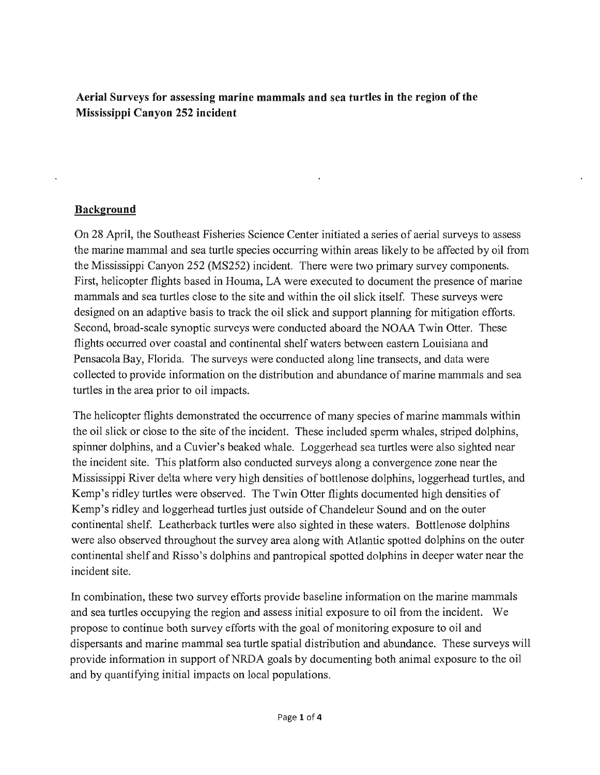**Aerial Surveys for assessing marine mammals and sea turtles in the region of the Mississippi Canyon 252 incident** 

#### **Background**

On 28 April, the Southeast Fisheries Science Center initiated a series of aerial surveys to assess the marine mammal and sea turtle species occurring within areas likely to be affected by oil from the Mississippi Canyon 252 (MS252) incident. There were two primary survey components. First, helicopter flights based in Houma, LA were executed to document the presence of marine mammals and sea turtles close to the site and within the oil slick itself. These surveys were designed on an adaptive basis to track the oil slick and support planning for mitigation efforts. Second, broad-scale synoptic surveys were conducted aboard the NOAA Twin Otter. These flights occurred over coastal and continental shelf waters between eastern Louisiana and Pensacola Bay, Florida. The surveys were conducted along line transects, and data were collected to provide information on the distribution and abundance of marine mammals and sea turtles in the area prior to oil impacts.

The helicopter flights demonstrated the occurrence of many species of marine mammals within the oil slick or close to the site of the incident. These included sperm whales, striped dolphins, spinner dolphins, and a Cuvier's beaked whale. Loggerhead sea turtles were also sighted near the incident site. This platform also conducted surveys along a convergence zone near the Mississippi River delta where very high densities of bottlenose dolphins, loggerhead turtles, and Kemp's ridley turtles were observed. The Twin Otter flights documented high densities of Kemp's ridley and loggerhead turtles just outside of Chandeleur Sound and on the outer continental shelf. Leatherback turtles were also sighted in these waters. Bottlenose dolphins were also observed throughout the survey area along with Atlantic spotted dolphins on the outer continental shelf and Risso's dolphins and pantropical spotted dolphins in deeper water near the incident site.

In combination, these two survey efforts provide baseline information on the marine mammals and sea turtles occupying the region and assess initial exposure to oil from the incident. We propose to continue both survey efforts with the goal of monitoring exposure to oil and dispersants and marine mammal sea turtle spatial distribution and abundance. These surveys will provide information in support of NRDA goals by documenting both animal exposure to the oil and by quantifying initial impacts on local populations.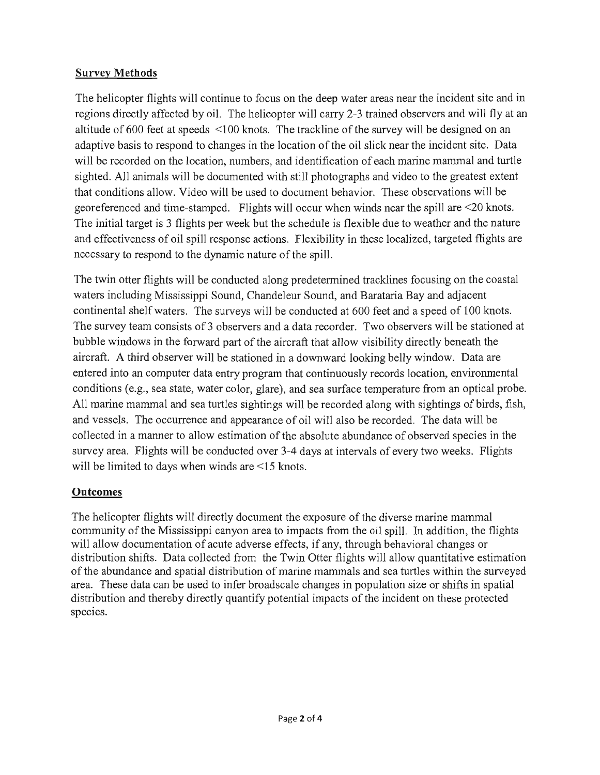#### **Survey Methods**

The helicopter flights will continue to focus on the deep water areas near the incident site and in regions directly affected by oil. The helicopter will carry 2-3 trained observers and will fly at an altitude of 600 feet at speeds <100 knots. The trackline of the survey will be designed on an adaptive basis to respond to changes in the location of the oil slick near the incident site. Data will be recorded on the location, numbers, and identification of each marine mammal and turtle sighted. All animals will be documented with still photographs and video to the greatest extent that conditions allow. Video will be used to document behavior. These observations will be georeferenced and time-stamped. Flights will occur when winds near the spill are <20 knots. The initial target is 3 flights per week but the schedule is flexible due to weather and the nature and effectiveness of oil spill response actions. Flexibility in these localized, targeted flights are necessary to respond to the dynamic nature of the spill.

The twin otter flights will be conducted along predetermined tracklines focusing on the coastal waters including Mississippi Sound, Chandeleur Sound, and Barataria Bay and adjacent continental shelf waters. The surveys will be conducted at 600 feet and a speed of 100 knots. The survey team consists of 3 observers and a data recorder. Two observers will be stationed at bubble windows in the forward part of the aircraft that allow visibility directly beneath the aircraft. A third observer will be stationed in a downward looking belly window. Data are entered into an computer data entry program that continuously records location, environmental conditions (e.g., sea state, water color, glare), and sea surface temperature from an optical probe. All marine mammal and sea turtles sightings will be recorded along with sightings of birds, fish, and vessels. The occurrence and appearance of oil will also be recorded. The data will be collected in a manner to allow estimation of the absolute abundance of observed species in the survey area. Flights will be conducted over 3-4 days at intervals of every two weeks. Flights will be limited to days when winds are <15 knots.

## **Outcomes**

The helicopter flights will directly document the exposure of the diverse marine mammal community of the Mississippi canyon area to impacts from the oil spill. In addition, the flights will allow documentation of acute adverse effects, if any, through behavioral changes or distribution shifts. Data collected from the Twin Otter flights will allow quantitative estimation of the abundance and spatial distribution of marine mammals and sea turtles within the surveyed area. These data can be used to infer broadscale changes in population size or shifts in spatial distribution and thereby directly quantify potential impacts of the incident on these protected species.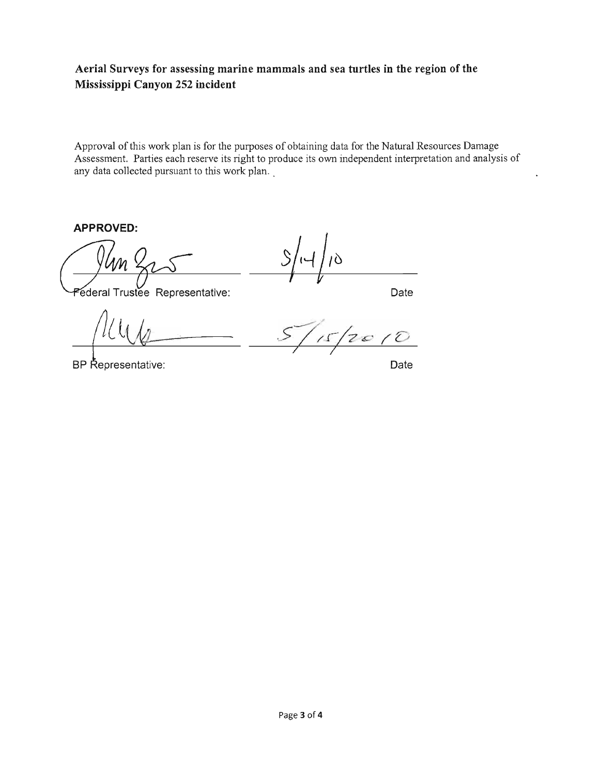## **Aerial Surveys for assessing marine mammals and sea turtles in the region of the Mississippi Canyon 252 incident**

Approval of this work plan is for the purposes of obtaining data for the Natural Resources Damage Assessment. Parties each reserve its right to produce its own independent interpretation and analysis of any data collected pursuant to this work plan.

**APPROVED:** 

C1: ~entrulve . **Date** 

BP Representative:

L.

 $\hat{C}$  $\overline{\phantom{0}}$ 

**Date**